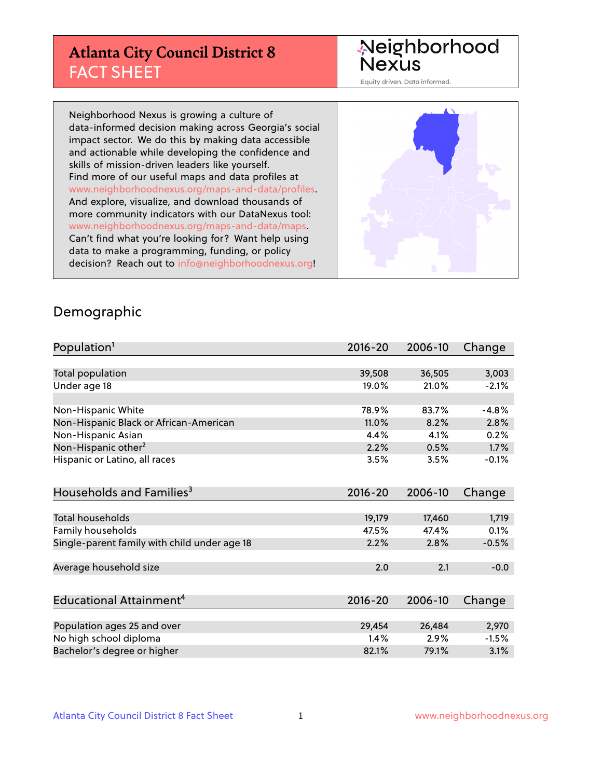# **Atlanta City Council District 8** FACT SHEET

# Neighborhood<br>Nexus

Equity driven. Data informed.

Neighborhood Nexus is growing a culture of data-informed decision making across Georgia's social impact sector. We do this by making data accessible and actionable while developing the confidence and skills of mission-driven leaders like yourself. Find more of our useful maps and data profiles at www.neighborhoodnexus.org/maps-and-data/profiles. And explore, visualize, and download thousands of more community indicators with our DataNexus tool: www.neighborhoodnexus.org/maps-and-data/maps. Can't find what you're looking for? Want help using data to make a programming, funding, or policy decision? Reach out to [info@neighborhoodnexus.org!](mailto:info@neighborhoodnexus.org)



#### Demographic

| Population <sup>1</sup>                      | $2016 - 20$ | 2006-10 | Change  |
|----------------------------------------------|-------------|---------|---------|
|                                              |             |         |         |
| Total population                             | 39,508      | 36,505  | 3,003   |
| Under age 18                                 | 19.0%       | 21.0%   | $-2.1%$ |
|                                              |             |         |         |
| Non-Hispanic White                           | 78.9%       | 83.7%   | $-4.8%$ |
| Non-Hispanic Black or African-American       | 11.0%       | 8.2%    | 2.8%    |
| Non-Hispanic Asian                           | 4.4%        | 4.1%    | 0.2%    |
| Non-Hispanic other <sup>2</sup>              | 2.2%        | 0.5%    | 1.7%    |
| Hispanic or Latino, all races                | 3.5%        | 3.5%    | $-0.1%$ |
|                                              |             |         |         |
| Households and Families <sup>3</sup>         | $2016 - 20$ | 2006-10 | Change  |
|                                              |             |         |         |
| <b>Total households</b>                      | 19,179      | 17,460  | 1,719   |
| <b>Family households</b>                     | 47.5%       | 47.4%   | 0.1%    |
| Single-parent family with child under age 18 | 2.2%        | 2.8%    | $-0.5%$ |
|                                              |             |         |         |
| Average household size                       | 2.0         | 2.1     | $-0.0$  |
|                                              |             |         |         |
| Educational Attainment <sup>4</sup>          | $2016 - 20$ | 2006-10 | Change  |
|                                              |             |         |         |
| Population ages 25 and over                  | 29,454      | 26,484  | 2,970   |
| No high school diploma                       | 1.4%        | 2.9%    | $-1.5%$ |
| Bachelor's degree or higher                  | 82.1%       | 79.1%   | 3.1%    |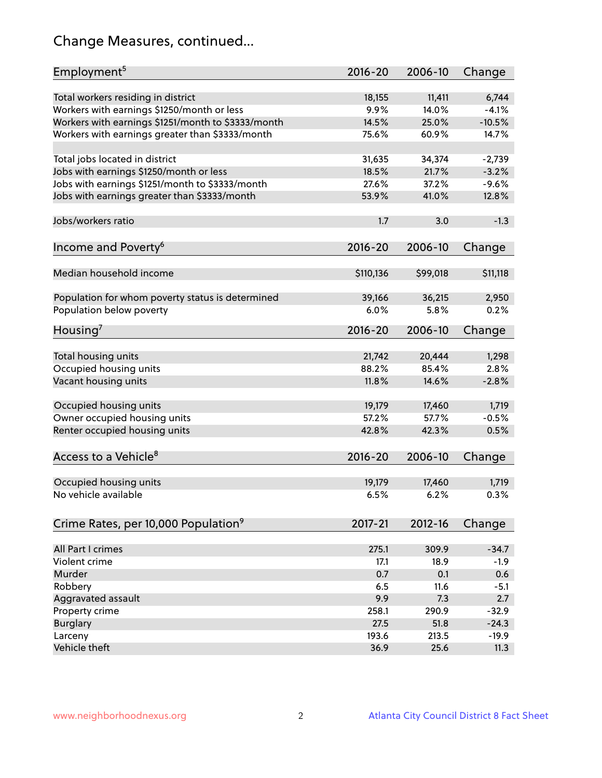# Change Measures, continued...

| Employment <sup>5</sup>                            | $2016 - 20$    | 2006-10  | Change   |
|----------------------------------------------------|----------------|----------|----------|
|                                                    |                |          |          |
| Total workers residing in district                 | 18,155         | 11,411   | 6,744    |
| Workers with earnings \$1250/month or less         | 9.9%           | 14.0%    | $-4.1%$  |
| Workers with earnings \$1251/month to \$3333/month | 14.5%<br>75.6% | 25.0%    | $-10.5%$ |
| Workers with earnings greater than \$3333/month    |                | 60.9%    | 14.7%    |
| Total jobs located in district                     | 31,635         | 34,374   | $-2,739$ |
| Jobs with earnings \$1250/month or less            | 18.5%          | 21.7%    | $-3.2%$  |
| Jobs with earnings \$1251/month to \$3333/month    | 27.6%          | 37.2%    | $-9.6%$  |
| Jobs with earnings greater than \$3333/month       | 53.9%          | 41.0%    | 12.8%    |
|                                                    |                |          |          |
| Jobs/workers ratio                                 | 1.7            | 3.0      | $-1.3$   |
|                                                    |                |          |          |
| Income and Poverty <sup>6</sup>                    | 2016-20        | 2006-10  | Change   |
|                                                    |                |          |          |
| Median household income                            | \$110,136      | \$99,018 | \$11,118 |
|                                                    |                |          |          |
| Population for whom poverty status is determined   | 39,166<br>6.0% | 36,215   | 2,950    |
| Population below poverty                           |                | 5.8%     | 0.2%     |
| Housing <sup>7</sup>                               | $2016 - 20$    | 2006-10  | Change   |
|                                                    |                |          |          |
| Total housing units                                | 21,742         | 20,444   | 1,298    |
| Occupied housing units                             | 88.2%          | 85.4%    | 2.8%     |
| Vacant housing units                               | 11.8%          | 14.6%    | $-2.8%$  |
|                                                    |                |          |          |
| Occupied housing units                             | 19,179         | 17,460   | 1,719    |
| Owner occupied housing units                       | 57.2%          | 57.7%    | $-0.5%$  |
| Renter occupied housing units                      | 42.8%          | 42.3%    | 0.5%     |
|                                                    |                |          |          |
| Access to a Vehicle <sup>8</sup>                   | $2016 - 20$    | 2006-10  | Change   |
| Occupied housing units                             | 19,179         | 17,460   | 1,719    |
| No vehicle available                               | 6.5%           | 6.2%     | 0.3%     |
|                                                    |                |          |          |
| Crime Rates, per 10,000 Population <sup>9</sup>    | 2017-21        | 2012-16  | Change   |
|                                                    |                |          |          |
| All Part I crimes                                  | 275.1          | 309.9    | $-34.7$  |
| Violent crime                                      | 17.1           | 18.9     | $-1.9$   |
| Murder                                             | 0.7            | 0.1      | 0.6      |
| Robbery                                            | 6.5            | 11.6     | $-5.1$   |
| Aggravated assault                                 | 9.9            | 7.3      | 2.7      |
| Property crime                                     | 258.1          | 290.9    | $-32.9$  |
| <b>Burglary</b>                                    | 27.5           | 51.8     | $-24.3$  |
| Larceny                                            | 193.6          | 213.5    | $-19.9$  |
| Vehicle theft                                      | 36.9           | 25.6     | 11.3     |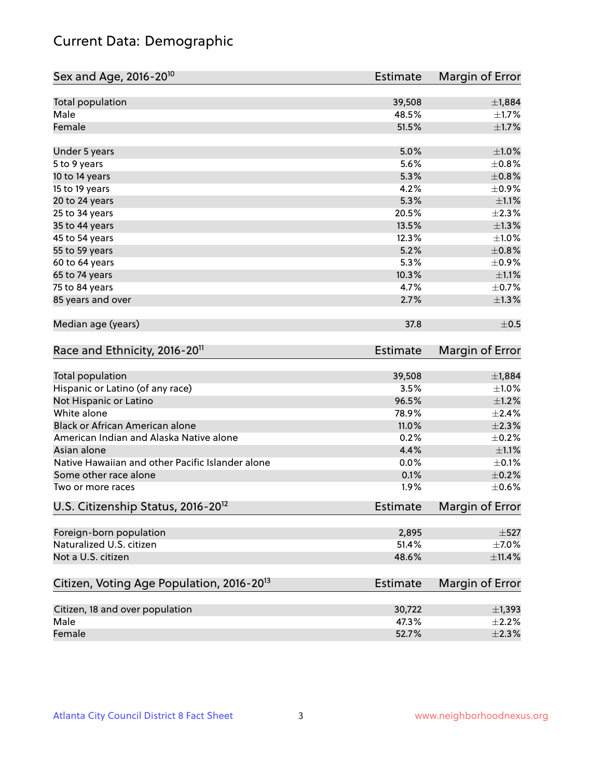# Current Data: Demographic

| Total population<br>39,508<br>±1,884<br>Male<br>48.5%<br>$\pm$ 1.7%<br>Female<br>51.5%<br>$\pm 1.7\%$<br>5.0%<br>$\pm 1.0\%$<br>Under 5 years<br>5.6%<br>±0.8%<br>5 to 9 years<br>5.3%<br>$\pm 0.8\%$<br>10 to 14 years<br>4.2%<br>$\pm$ 0.9%<br>15 to 19 years<br>5.3%<br>$\pm 1.1\%$<br>20 to 24 years<br>20.5%<br>$\pm 2.3\%$<br>25 to 34 years<br>35 to 44 years<br>13.5%<br>$\pm 1.3\%$<br>12.3%<br>$\pm 1.0\%$<br>45 to 54 years<br>5.2%<br>$\pm 0.8\%$<br>55 to 59 years<br>5.3%<br>$\pm$ 0.9%<br>60 to 64 years<br>10.3%<br>$\pm 1.1\%$<br>65 to 74 years<br>75 to 84 years<br>4.7%<br>$\pm$ 0.7%<br>2.7%<br>85 years and over<br>Median age (years)<br>37.8<br>Race and Ethnicity, 2016-20 <sup>11</sup><br><b>Estimate</b><br>Total population<br>39,508<br>Hispanic or Latino (of any race)<br>3.5%<br>Not Hispanic or Latino<br>96.5%<br>White alone<br>78.9%<br>Black or African American alone<br>11.0%<br>American Indian and Alaska Native alone<br>0.2%<br>4.4%<br>Asian alone<br>Native Hawaiian and other Pacific Islander alone<br>0.0%<br>0.1%<br>Some other race alone<br>1.9%<br>Two or more races<br>U.S. Citizenship Status, 2016-20 <sup>12</sup><br><b>Estimate</b><br>Foreign-born population<br>2,895<br>Naturalized U.S. citizen<br>51.4%<br>Not a U.S. citizen<br>48.6%<br>Citizen, Voting Age Population, 2016-20 <sup>13</sup><br><b>Estimate</b><br>Citizen, 18 and over population<br>30,722<br>Male<br>47.3% | Sex and Age, 2016-20 <sup>10</sup> | <b>Estimate</b> | Margin of Error |
|--------------------------------------------------------------------------------------------------------------------------------------------------------------------------------------------------------------------------------------------------------------------------------------------------------------------------------------------------------------------------------------------------------------------------------------------------------------------------------------------------------------------------------------------------------------------------------------------------------------------------------------------------------------------------------------------------------------------------------------------------------------------------------------------------------------------------------------------------------------------------------------------------------------------------------------------------------------------------------------------------------------------------------------------------------------------------------------------------------------------------------------------------------------------------------------------------------------------------------------------------------------------------------------------------------------------------------------------------------------------------------------------------------------------------------------------------|------------------------------------|-----------------|-----------------|
|                                                                                                                                                                                                                                                                                                                                                                                                                                                                                                                                                                                                                                                                                                                                                                                                                                                                                                                                                                                                                                                                                                                                                                                                                                                                                                                                                                                                                                                  |                                    |                 |                 |
|                                                                                                                                                                                                                                                                                                                                                                                                                                                                                                                                                                                                                                                                                                                                                                                                                                                                                                                                                                                                                                                                                                                                                                                                                                                                                                                                                                                                                                                  |                                    |                 |                 |
|                                                                                                                                                                                                                                                                                                                                                                                                                                                                                                                                                                                                                                                                                                                                                                                                                                                                                                                                                                                                                                                                                                                                                                                                                                                                                                                                                                                                                                                  |                                    |                 |                 |
|                                                                                                                                                                                                                                                                                                                                                                                                                                                                                                                                                                                                                                                                                                                                                                                                                                                                                                                                                                                                                                                                                                                                                                                                                                                                                                                                                                                                                                                  |                                    |                 |                 |
|                                                                                                                                                                                                                                                                                                                                                                                                                                                                                                                                                                                                                                                                                                                                                                                                                                                                                                                                                                                                                                                                                                                                                                                                                                                                                                                                                                                                                                                  |                                    |                 |                 |
|                                                                                                                                                                                                                                                                                                                                                                                                                                                                                                                                                                                                                                                                                                                                                                                                                                                                                                                                                                                                                                                                                                                                                                                                                                                                                                                                                                                                                                                  |                                    |                 |                 |
|                                                                                                                                                                                                                                                                                                                                                                                                                                                                                                                                                                                                                                                                                                                                                                                                                                                                                                                                                                                                                                                                                                                                                                                                                                                                                                                                                                                                                                                  |                                    |                 |                 |
|                                                                                                                                                                                                                                                                                                                                                                                                                                                                                                                                                                                                                                                                                                                                                                                                                                                                                                                                                                                                                                                                                                                                                                                                                                                                                                                                                                                                                                                  |                                    |                 |                 |
|                                                                                                                                                                                                                                                                                                                                                                                                                                                                                                                                                                                                                                                                                                                                                                                                                                                                                                                                                                                                                                                                                                                                                                                                                                                                                                                                                                                                                                                  |                                    |                 |                 |
|                                                                                                                                                                                                                                                                                                                                                                                                                                                                                                                                                                                                                                                                                                                                                                                                                                                                                                                                                                                                                                                                                                                                                                                                                                                                                                                                                                                                                                                  |                                    |                 |                 |
|                                                                                                                                                                                                                                                                                                                                                                                                                                                                                                                                                                                                                                                                                                                                                                                                                                                                                                                                                                                                                                                                                                                                                                                                                                                                                                                                                                                                                                                  |                                    |                 |                 |
|                                                                                                                                                                                                                                                                                                                                                                                                                                                                                                                                                                                                                                                                                                                                                                                                                                                                                                                                                                                                                                                                                                                                                                                                                                                                                                                                                                                                                                                  |                                    |                 |                 |
|                                                                                                                                                                                                                                                                                                                                                                                                                                                                                                                                                                                                                                                                                                                                                                                                                                                                                                                                                                                                                                                                                                                                                                                                                                                                                                                                                                                                                                                  |                                    |                 |                 |
|                                                                                                                                                                                                                                                                                                                                                                                                                                                                                                                                                                                                                                                                                                                                                                                                                                                                                                                                                                                                                                                                                                                                                                                                                                                                                                                                                                                                                                                  |                                    |                 |                 |
|                                                                                                                                                                                                                                                                                                                                                                                                                                                                                                                                                                                                                                                                                                                                                                                                                                                                                                                                                                                                                                                                                                                                                                                                                                                                                                                                                                                                                                                  |                                    |                 |                 |
| $\pm$ 0.5<br>Margin of Error<br>±1,884<br>$\pm 1.0\%$<br>$\pm 1.2\%$<br>±2.4%<br>$\pm 2.3\%$<br>$\pm$ 0.2%<br>$\pm 1.1\%$<br>$\pm$ 0.1%<br>$\pm$ 0.2%<br>$\pm$ 0.6%<br>Margin of Error<br>$\pm$ 527                                                                                                                                                                                                                                                                                                                                                                                                                                                                                                                                                                                                                                                                                                                                                                                                                                                                                                                                                                                                                                                                                                                                                                                                                                              |                                    |                 | $\pm 1.3\%$     |
|                                                                                                                                                                                                                                                                                                                                                                                                                                                                                                                                                                                                                                                                                                                                                                                                                                                                                                                                                                                                                                                                                                                                                                                                                                                                                                                                                                                                                                                  |                                    |                 |                 |
|                                                                                                                                                                                                                                                                                                                                                                                                                                                                                                                                                                                                                                                                                                                                                                                                                                                                                                                                                                                                                                                                                                                                                                                                                                                                                                                                                                                                                                                  |                                    |                 |                 |
|                                                                                                                                                                                                                                                                                                                                                                                                                                                                                                                                                                                                                                                                                                                                                                                                                                                                                                                                                                                                                                                                                                                                                                                                                                                                                                                                                                                                                                                  |                                    |                 |                 |
|                                                                                                                                                                                                                                                                                                                                                                                                                                                                                                                                                                                                                                                                                                                                                                                                                                                                                                                                                                                                                                                                                                                                                                                                                                                                                                                                                                                                                                                  |                                    |                 |                 |
|                                                                                                                                                                                                                                                                                                                                                                                                                                                                                                                                                                                                                                                                                                                                                                                                                                                                                                                                                                                                                                                                                                                                                                                                                                                                                                                                                                                                                                                  |                                    |                 |                 |
|                                                                                                                                                                                                                                                                                                                                                                                                                                                                                                                                                                                                                                                                                                                                                                                                                                                                                                                                                                                                                                                                                                                                                                                                                                                                                                                                                                                                                                                  |                                    |                 |                 |
|                                                                                                                                                                                                                                                                                                                                                                                                                                                                                                                                                                                                                                                                                                                                                                                                                                                                                                                                                                                                                                                                                                                                                                                                                                                                                                                                                                                                                                                  |                                    |                 |                 |
|                                                                                                                                                                                                                                                                                                                                                                                                                                                                                                                                                                                                                                                                                                                                                                                                                                                                                                                                                                                                                                                                                                                                                                                                                                                                                                                                                                                                                                                  |                                    |                 |                 |
|                                                                                                                                                                                                                                                                                                                                                                                                                                                                                                                                                                                                                                                                                                                                                                                                                                                                                                                                                                                                                                                                                                                                                                                                                                                                                                                                                                                                                                                  |                                    |                 |                 |
|                                                                                                                                                                                                                                                                                                                                                                                                                                                                                                                                                                                                                                                                                                                                                                                                                                                                                                                                                                                                                                                                                                                                                                                                                                                                                                                                                                                                                                                  |                                    |                 |                 |
|                                                                                                                                                                                                                                                                                                                                                                                                                                                                                                                                                                                                                                                                                                                                                                                                                                                                                                                                                                                                                                                                                                                                                                                                                                                                                                                                                                                                                                                  |                                    |                 |                 |
|                                                                                                                                                                                                                                                                                                                                                                                                                                                                                                                                                                                                                                                                                                                                                                                                                                                                                                                                                                                                                                                                                                                                                                                                                                                                                                                                                                                                                                                  |                                    |                 |                 |
|                                                                                                                                                                                                                                                                                                                                                                                                                                                                                                                                                                                                                                                                                                                                                                                                                                                                                                                                                                                                                                                                                                                                                                                                                                                                                                                                                                                                                                                  |                                    |                 |                 |
| $\pm$ 7.0%<br>$\pm$ 11.4%<br>Margin of Error<br>$\pm$ 1,393<br>$\pm 2.2\%$                                                                                                                                                                                                                                                                                                                                                                                                                                                                                                                                                                                                                                                                                                                                                                                                                                                                                                                                                                                                                                                                                                                                                                                                                                                                                                                                                                       |                                    |                 |                 |
|                                                                                                                                                                                                                                                                                                                                                                                                                                                                                                                                                                                                                                                                                                                                                                                                                                                                                                                                                                                                                                                                                                                                                                                                                                                                                                                                                                                                                                                  |                                    |                 |                 |
|                                                                                                                                                                                                                                                                                                                                                                                                                                                                                                                                                                                                                                                                                                                                                                                                                                                                                                                                                                                                                                                                                                                                                                                                                                                                                                                                                                                                                                                  |                                    |                 |                 |
|                                                                                                                                                                                                                                                                                                                                                                                                                                                                                                                                                                                                                                                                                                                                                                                                                                                                                                                                                                                                                                                                                                                                                                                                                                                                                                                                                                                                                                                  |                                    |                 |                 |
|                                                                                                                                                                                                                                                                                                                                                                                                                                                                                                                                                                                                                                                                                                                                                                                                                                                                                                                                                                                                                                                                                                                                                                                                                                                                                                                                                                                                                                                  |                                    |                 |                 |
|                                                                                                                                                                                                                                                                                                                                                                                                                                                                                                                                                                                                                                                                                                                                                                                                                                                                                                                                                                                                                                                                                                                                                                                                                                                                                                                                                                                                                                                  |                                    |                 |                 |
|                                                                                                                                                                                                                                                                                                                                                                                                                                                                                                                                                                                                                                                                                                                                                                                                                                                                                                                                                                                                                                                                                                                                                                                                                                                                                                                                                                                                                                                  | Female                             | 52.7%           | $\pm 2.3\%$     |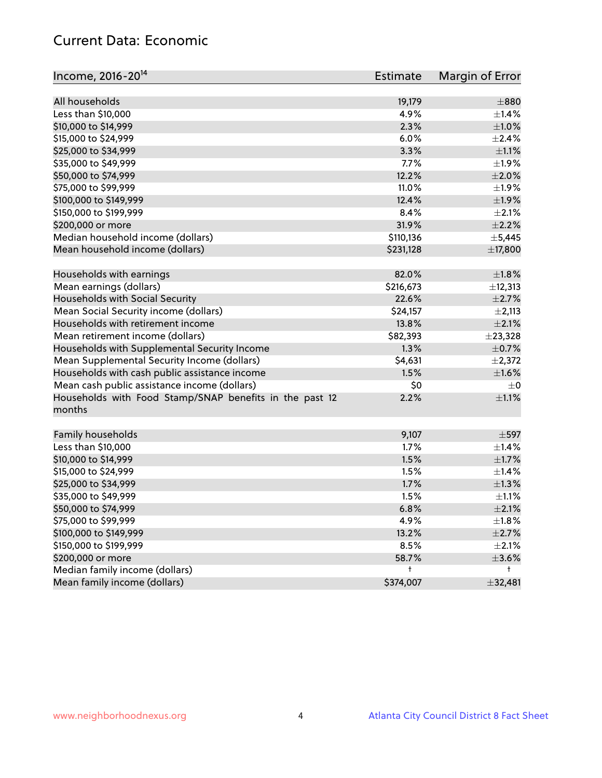# Current Data: Economic

| Income, 2016-20 <sup>14</sup>                                     | <b>Estimate</b> | Margin of Error |
|-------------------------------------------------------------------|-----------------|-----------------|
| All households                                                    | 19,179          | $\pm 880$       |
| Less than \$10,000                                                | 4.9%            | $\pm$ 1.4%      |
|                                                                   | 2.3%            | $\pm 1.0\%$     |
| \$10,000 to \$14,999                                              |                 |                 |
| \$15,000 to \$24,999                                              | 6.0%            | $\pm 2.4\%$     |
| \$25,000 to \$34,999                                              | 3.3%            | $\pm 1.1\%$     |
| \$35,000 to \$49,999                                              | 7.7%            | ±1.9%           |
| \$50,000 to \$74,999                                              | 12.2%           | $\pm 2.0\%$     |
| \$75,000 to \$99,999                                              | 11.0%           | ±1.9%           |
| \$100,000 to \$149,999                                            | 12.4%           | ±1.9%           |
| \$150,000 to \$199,999                                            | 8.4%            | $\pm 2.1\%$     |
| \$200,000 or more                                                 | 31.9%           | $\pm 2.2\%$     |
| Median household income (dollars)                                 | \$110,136       | $\pm$ 5,445     |
| Mean household income (dollars)                                   | \$231,128       | ±17,800         |
| Households with earnings                                          | 82.0%           | $\pm1.8\%$      |
| Mean earnings (dollars)                                           | \$216,673       | ±12,313         |
| Households with Social Security                                   | 22.6%           | $\pm 2.7\%$     |
| Mean Social Security income (dollars)                             | \$24,157        | $\pm 2,113$     |
| Households with retirement income                                 | 13.8%           | $\pm 2.1\%$     |
| Mean retirement income (dollars)                                  | \$82,393        | ±23,328         |
| Households with Supplemental Security Income                      | 1.3%            | $\pm$ 0.7%      |
| Mean Supplemental Security Income (dollars)                       | \$4,631         | $\pm 2,372$     |
| Households with cash public assistance income                     | 1.5%            | $\pm1.6\%$      |
| Mean cash public assistance income (dollars)                      | \$0             | $\pm 0$         |
| Households with Food Stamp/SNAP benefits in the past 12<br>months | 2.2%            | $\pm 1.1\%$     |
| Family households                                                 | 9,107           | $\pm$ 597       |
| Less than \$10,000                                                | 1.7%            | $\pm$ 1.4%      |
| \$10,000 to \$14,999                                              | 1.5%            | $\pm 1.7\%$     |
| \$15,000 to \$24,999                                              | 1.5%            | ±1.4%           |
| \$25,000 to \$34,999                                              | 1.7%            | $\pm 1.3\%$     |
| \$35,000 to \$49,999                                              | 1.5%            | $\pm 1.1\%$     |
| \$50,000 to \$74,999                                              | 6.8%            | $\pm 2.1\%$     |
| \$75,000 to \$99,999                                              | 4.9%            | $\pm 1.8\%$     |
| \$100,000 to \$149,999                                            | 13.2%           | $\pm 2.7\%$     |
| \$150,000 to \$199,999                                            | 8.5%            | $\pm 2.1\%$     |
| \$200,000 or more                                                 | 58.7%           | $\pm$ 3.6%      |
| Median family income (dollars)                                    | t               | t               |
| Mean family income (dollars)                                      | \$374,007       | ±32,481         |
|                                                                   |                 |                 |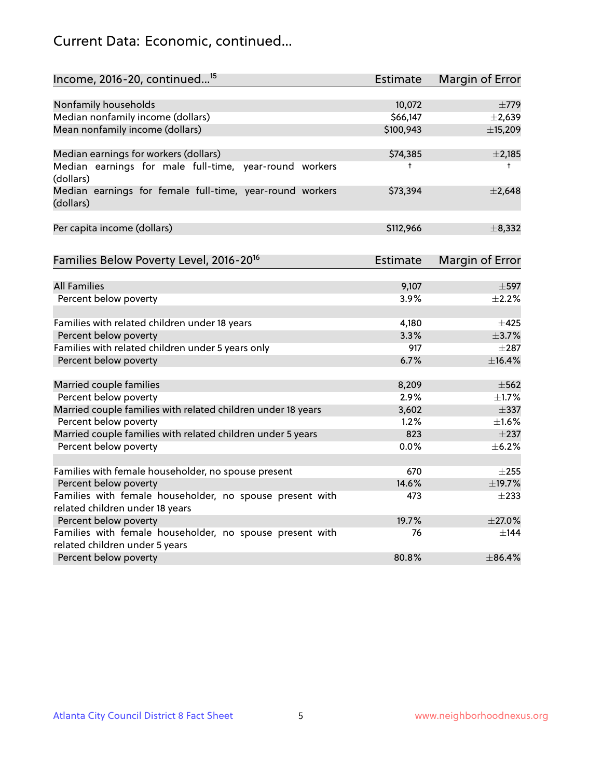# Current Data: Economic, continued...

| Income, 2016-20, continued <sup>15</sup>                              | <b>Estimate</b> | Margin of Error        |
|-----------------------------------------------------------------------|-----------------|------------------------|
|                                                                       |                 |                        |
| Nonfamily households                                                  | 10,072          | $\pm 779$              |
| Median nonfamily income (dollars)                                     | \$66,147        | $\pm 2,639$            |
| Mean nonfamily income (dollars)                                       | \$100,943       | ±15,209                |
| Median earnings for workers (dollars)                                 | \$74,385        | $\pm$ 2,185            |
| Median earnings for male full-time, year-round workers<br>(dollars)   | $\ddagger$      | $^+$                   |
| Median earnings for female full-time, year-round workers<br>(dollars) | \$73,394        | $\pm 2,648$            |
| Per capita income (dollars)                                           | \$112,966       | $\pm$ 8,332            |
| Families Below Poverty Level, 2016-20 <sup>16</sup>                   | <b>Estimate</b> | <b>Margin of Error</b> |
|                                                                       |                 |                        |
| <b>All Families</b>                                                   | 9,107           | $\pm$ 597              |
| Percent below poverty                                                 | 3.9%            | $\pm 2.2\%$            |
| Families with related children under 18 years                         | 4,180           | $\pm 425$              |
| Percent below poverty                                                 | 3.3%            | $\pm$ 3.7%             |
| Families with related children under 5 years only                     | 917             | $\pm 287$              |
| Percent below poverty                                                 | 6.7%            | ±16.4%                 |
| Married couple families                                               | 8,209           | $\pm$ 562              |
| Percent below poverty                                                 | 2.9%            | $\pm$ 1.7%             |
| Married couple families with related children under 18 years          | 3,602           | $\pm$ 337              |
| Percent below poverty                                                 | 1.2%            | $\pm1.6\%$             |
| Married couple families with related children under 5 years           | 823             | $\pm$ 237              |
| Percent below poverty                                                 | 0.0%            | ±6.2%                  |
|                                                                       |                 |                        |
| Families with female householder, no spouse present                   | 670             | $\pm 255$              |
| Percent below poverty                                                 | 14.6%           | ±19.7%                 |
| Families with female householder, no spouse present with              | 473             | $\pm 233$              |
| related children under 18 years<br>Percent below poverty              | 19.7%           | $\pm 27.0\%$           |
| Families with female householder, no spouse present with              | 76              | $\pm$ 144              |
| related children under 5 years                                        |                 |                        |
| Percent below poverty                                                 | 80.8%           | ±86.4%                 |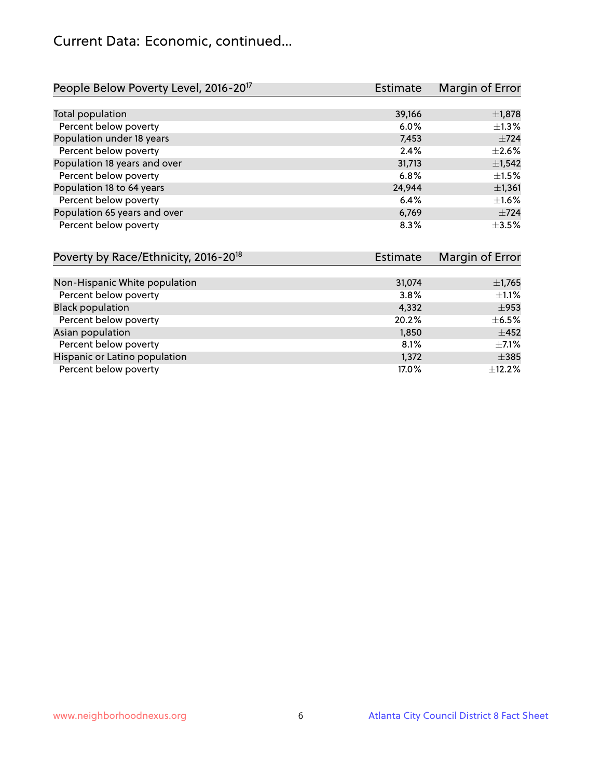# Current Data: Economic, continued...

| People Below Poverty Level, 2016-20 <sup>17</sup> | Estimate | Margin of Error |
|---------------------------------------------------|----------|-----------------|
|                                                   |          |                 |
| Total population                                  | 39,166   | $\pm$ 1,878     |
| Percent below poverty                             | $6.0\%$  | $\pm 1.3\%$     |
| Population under 18 years                         | 7,453    | $\pm 724$       |
| Percent below poverty                             | 2.4%     | $\pm 2.6\%$     |
| Population 18 years and over                      | 31,713   | ±1,542          |
| Percent below poverty                             | 6.8%     | $\pm 1.5\%$     |
| Population 18 to 64 years                         | 24,944   | $\pm$ 1,361     |
| Percent below poverty                             | 6.4%     | $\pm 1.6\%$     |
| Population 65 years and over                      | 6,769    | $+724$          |
| Percent below poverty                             | 8.3%     | $+3.5%$         |

| Poverty by Race/Ethnicity, 2016-20 <sup>18</sup> | Estimate | Margin of Error |
|--------------------------------------------------|----------|-----------------|
|                                                  |          |                 |
| Non-Hispanic White population                    | 31,074   | $\pm$ 1,765     |
| Percent below poverty                            | 3.8%     | $\pm 1.1\%$     |
| <b>Black population</b>                          | 4,332    | $\pm$ 953       |
| Percent below poverty                            | 20.2%    | $\pm$ 6.5%      |
| Asian population                                 | 1,850    | $\pm 452$       |
| Percent below poverty                            | 8.1%     | $\pm$ 7.1%      |
| Hispanic or Latino population                    | 1,372    | $\pm$ 385       |
| Percent below poverty                            | 17.0%    | $\pm$ 12.2%     |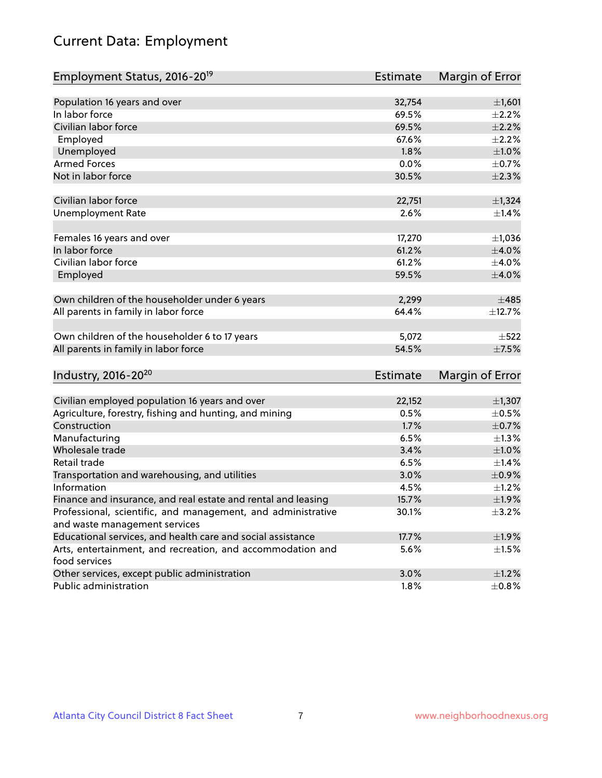# Current Data: Employment

| Employment Status, 2016-20 <sup>19</sup>                      | <b>Estimate</b> | Margin of Error |
|---------------------------------------------------------------|-----------------|-----------------|
|                                                               |                 |                 |
| Population 16 years and over                                  | 32,754          | ±1,601          |
| In labor force                                                | 69.5%           | $\pm 2.2\%$     |
| Civilian labor force                                          | 69.5%           | $\pm 2.2\%$     |
| Employed                                                      | 67.6%           | $\pm 2.2\%$     |
| Unemployed                                                    | 1.8%            | $\pm 1.0\%$     |
| <b>Armed Forces</b>                                           | 0.0%            | $\pm$ 0.7%      |
| Not in labor force                                            | 30.5%           | $\pm 2.3\%$     |
| Civilian labor force                                          | 22,751          | $\pm$ 1,324     |
| <b>Unemployment Rate</b>                                      | 2.6%            | $\pm$ 1.4%      |
|                                                               |                 |                 |
| Females 16 years and over                                     | 17,270          | $\pm$ 1,036     |
| In labor force                                                | 61.2%           | $\pm 4.0\%$     |
| Civilian labor force                                          | 61.2%           | $\pm$ 4.0%      |
| Employed                                                      | 59.5%           | $\pm 4.0\%$     |
| Own children of the householder under 6 years                 | 2,299           | ±485            |
| All parents in family in labor force                          | 64.4%           | ±12.7%          |
|                                                               |                 |                 |
| Own children of the householder 6 to 17 years                 | 5,072           | $\pm$ 522       |
| All parents in family in labor force                          | 54.5%           | $\pm$ 7.5%      |
|                                                               |                 |                 |
| Industry, 2016-20 <sup>20</sup>                               | Estimate        | Margin of Error |
| Civilian employed population 16 years and over                | 22,152          | $\pm$ 1,307     |
| Agriculture, forestry, fishing and hunting, and mining        | 0.5%            | $\pm$ 0.5%      |
| Construction                                                  | 1.7%            | $\pm$ 0.7%      |
| Manufacturing                                                 | 6.5%            | $\pm$ 1.3%      |
| Wholesale trade                                               | 3.4%            | $\pm1.0\%$      |
| Retail trade                                                  | 6.5%            | $\pm$ 1.4%      |
| Transportation and warehousing, and utilities                 | 3.0%            | $\pm$ 0.9%      |
| Information                                                   | 4.5%            | ±1.2%           |
| Finance and insurance, and real estate and rental and leasing | 15.7%           | ±1.9%           |
| Professional, scientific, and management, and administrative  | 30.1%           | $\pm$ 3.2%      |
| and waste management services                                 |                 |                 |
| Educational services, and health care and social assistance   | 17.7%           | $\pm$ 1.9%      |
| Arts, entertainment, and recreation, and accommodation and    | 5.6%            | $\pm 1.5\%$     |
| food services                                                 |                 |                 |
| Other services, except public administration                  | 3.0%            | $\pm 1.2\%$     |
| Public administration                                         | 1.8%            | $\pm$ 0.8%      |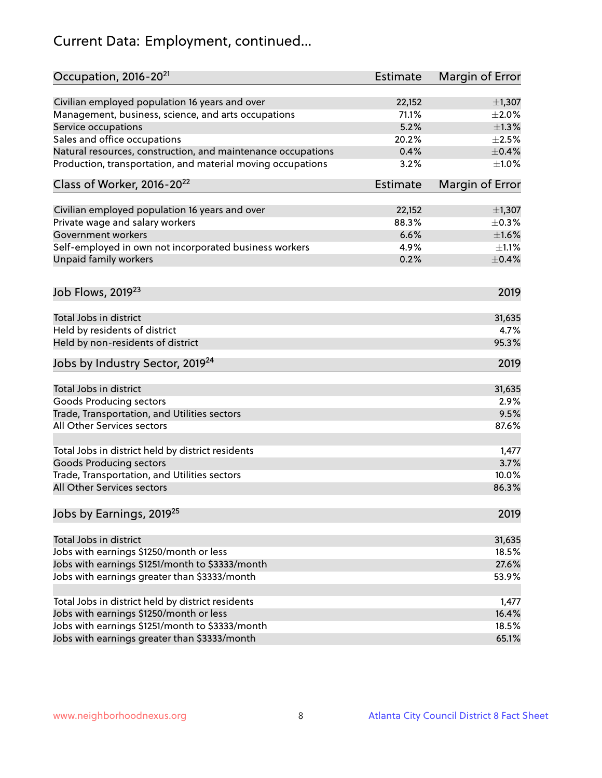# Current Data: Employment, continued...

| Occupation, 2016-20 <sup>21</sup>                            | Estimate        | Margin of Error |
|--------------------------------------------------------------|-----------------|-----------------|
| Civilian employed population 16 years and over               | 22,152          | $\pm$ 1,307     |
| Management, business, science, and arts occupations          | 71.1%           | $\pm 2.0\%$     |
| Service occupations                                          | 5.2%            | $\pm 1.3\%$     |
| Sales and office occupations                                 | 20.2%           | $\pm 2.5\%$     |
| Natural resources, construction, and maintenance occupations | 0.4%            | $\pm$ 0.4%      |
| Production, transportation, and material moving occupations  | 3.2%            | $\pm1.0\%$      |
| Class of Worker, 2016-20 <sup>22</sup>                       | <b>Estimate</b> | Margin of Error |
| Civilian employed population 16 years and over               | 22,152          | $\pm$ 1,307     |
| Private wage and salary workers                              | 88.3%           | $\pm$ 0.3%      |
| <b>Government workers</b>                                    | 6.6%            | $\pm1.6\%$      |
| Self-employed in own not incorporated business workers       | 4.9%            | $\pm 1.1\%$     |
| Unpaid family workers                                        | 0.2%            | $\pm$ 0.4%      |
| Job Flows, 2019 <sup>23</sup>                                |                 | 2019            |
| Total Jobs in district                                       |                 | 31,635          |
| Held by residents of district                                |                 | 4.7%            |
| Held by non-residents of district                            |                 | 95.3%           |
| Jobs by Industry Sector, 2019 <sup>24</sup>                  |                 | 2019            |
|                                                              |                 |                 |
| Total Jobs in district                                       |                 | 31,635          |
| <b>Goods Producing sectors</b>                               |                 | 2.9%            |
| Trade, Transportation, and Utilities sectors                 |                 | 9.5%            |
| All Other Services sectors                                   |                 | 87.6%           |
| Total Jobs in district held by district residents            |                 | 1,477           |
| <b>Goods Producing sectors</b>                               |                 | 3.7%            |
| Trade, Transportation, and Utilities sectors                 |                 | 10.0%           |
| All Other Services sectors                                   |                 | 86.3%           |
| Jobs by Earnings, 2019 <sup>25</sup>                         |                 | 2019            |
| Total Jobs in district                                       |                 | 31,635          |
| Jobs with earnings \$1250/month or less                      |                 | 18.5%           |
| Jobs with earnings \$1251/month to \$3333/month              |                 | 27.6%           |
| Jobs with earnings greater than \$3333/month                 |                 | 53.9%           |
|                                                              |                 |                 |
| Total Jobs in district held by district residents            |                 | 1,477           |
| Jobs with earnings \$1250/month or less                      |                 | 16.4%           |
| Jobs with earnings \$1251/month to \$3333/month              |                 | 18.5%           |
| Jobs with earnings greater than \$3333/month                 |                 | 65.1%           |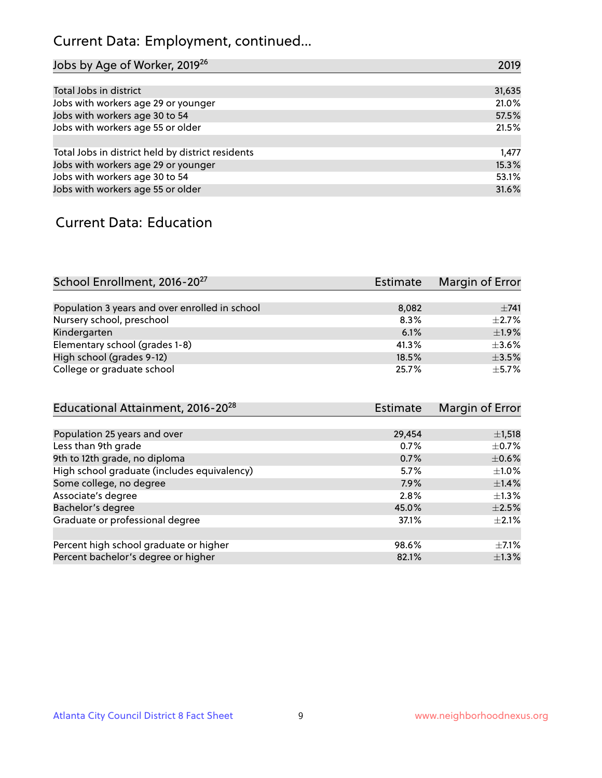# Current Data: Employment, continued...

| Jobs by Age of Worker, 2019 <sup>26</sup>         | 2019   |
|---------------------------------------------------|--------|
|                                                   |        |
| Total Jobs in district                            | 31,635 |
| Jobs with workers age 29 or younger               | 21.0%  |
| Jobs with workers age 30 to 54                    | 57.5%  |
| Jobs with workers age 55 or older                 | 21.5%  |
|                                                   |        |
| Total Jobs in district held by district residents | 1,477  |
| Jobs with workers age 29 or younger               | 15.3%  |
| Jobs with workers age 30 to 54                    | 53.1%  |
| Jobs with workers age 55 or older                 | 31.6%  |

## Current Data: Education

| School Enrollment, 2016-20 <sup>27</sup>       | Estimate | Margin of Error |
|------------------------------------------------|----------|-----------------|
|                                                |          |                 |
| Population 3 years and over enrolled in school | 8,082    | $\pm 741$       |
| Nursery school, preschool                      | 8.3%     | $\pm 2.7\%$     |
| Kindergarten                                   | 6.1%     | $+1.9%$         |
| Elementary school (grades 1-8)                 | 41.3%    | $\pm$ 3.6%      |
| High school (grades 9-12)                      | 18.5%    | $\pm$ 3.5%      |
| College or graduate school                     | 25.7%    | $\pm$ 5.7%      |

| Educational Attainment, 2016-20 <sup>28</sup> | <b>Estimate</b> | Margin of Error |
|-----------------------------------------------|-----------------|-----------------|
|                                               |                 |                 |
| Population 25 years and over                  | 29,454          | $\pm$ 1,518     |
| Less than 9th grade                           | 0.7%            | $\pm$ 0.7%      |
| 9th to 12th grade, no diploma                 | 0.7%            | $\pm$ 0.6%      |
| High school graduate (includes equivalency)   | 5.7%            | $\pm 1.0\%$     |
| Some college, no degree                       | 7.9%            | $\pm$ 1.4%      |
| Associate's degree                            | 2.8%            | $\pm 1.3\%$     |
| Bachelor's degree                             | 45.0%           | $\pm 2.5\%$     |
| Graduate or professional degree               | 37.1%           | $\pm 2.1\%$     |
|                                               |                 |                 |
| Percent high school graduate or higher        | 98.6%           | $+7.1%$         |
| Percent bachelor's degree or higher           | 82.1%           | $\pm 1.3\%$     |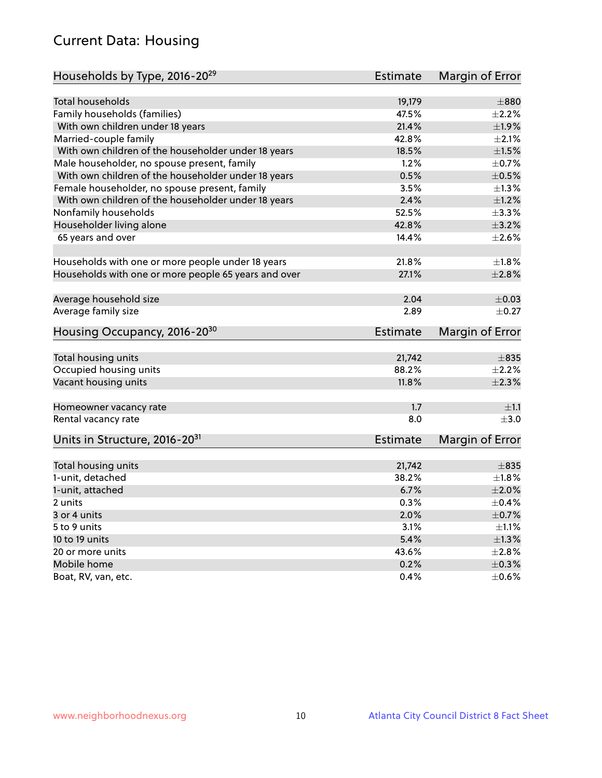# Current Data: Housing

| Households by Type, 2016-20 <sup>29</sup>            | <b>Estimate</b> | Margin of Error |
|------------------------------------------------------|-----------------|-----------------|
|                                                      |                 |                 |
| <b>Total households</b>                              | 19,179          | $\pm 880$       |
| Family households (families)                         | 47.5%           | $\pm 2.2\%$     |
| With own children under 18 years                     | 21.4%           | ±1.9%           |
| Married-couple family                                | 42.8%           | $\pm 2.1\%$     |
| With own children of the householder under 18 years  | 18.5%           | $\pm1.5\%$      |
| Male householder, no spouse present, family          | 1.2%            | $\pm$ 0.7%      |
| With own children of the householder under 18 years  | 0.5%            | $\pm$ 0.5%      |
| Female householder, no spouse present, family        | 3.5%            | $\pm 1.3\%$     |
| With own children of the householder under 18 years  | 2.4%            | $\pm 1.2\%$     |
| Nonfamily households                                 | 52.5%           | $\pm$ 3.3%      |
| Householder living alone                             | 42.8%           | $\pm$ 3.2%      |
| 65 years and over                                    | 14.4%           | $\pm 2.6\%$     |
|                                                      |                 |                 |
| Households with one or more people under 18 years    | 21.8%           | $\pm 1.8\%$     |
| Households with one or more people 65 years and over | 27.1%           | $\pm 2.8\%$     |
|                                                      |                 |                 |
| Average household size                               | 2.04            | $\pm$ 0.03      |
| Average family size                                  | 2.89            | $\pm$ 0.27      |
| Housing Occupancy, 2016-20 <sup>30</sup>             | <b>Estimate</b> | Margin of Error |
|                                                      |                 |                 |
| Total housing units                                  | 21,742          | $\pm$ 835       |
| Occupied housing units                               | 88.2%           | $\pm 2.2\%$     |
| Vacant housing units                                 | 11.8%           | $\pm 2.3\%$     |
| Homeowner vacancy rate                               | 1.7             | $\pm 1.1$       |
| Rental vacancy rate                                  | 8.0             | $\pm 3.0$       |
| Units in Structure, 2016-20 <sup>31</sup>            | <b>Estimate</b> | Margin of Error |
|                                                      |                 |                 |
| Total housing units                                  | 21,742          | $\pm$ 835       |
| 1-unit, detached                                     | 38.2%           | $\pm1.8\%$      |
| 1-unit, attached                                     | 6.7%            | $\pm 2.0\%$     |
| 2 units                                              | 0.3%            | $\pm$ 0.4%      |
| 3 or 4 units                                         | 2.0%            | $\pm$ 0.7%      |
| 5 to 9 units                                         | 3.1%            | $\pm 1.1\%$     |
| 10 to 19 units                                       | 5.4%            | $\pm 1.3\%$     |
| 20 or more units                                     | 43.6%           | $\pm 2.8\%$     |
| Mobile home                                          | 0.2%            | $\pm$ 0.3%      |
| Boat, RV, van, etc.                                  | $0.4\%$         | $\pm$ 0.6%      |
|                                                      |                 |                 |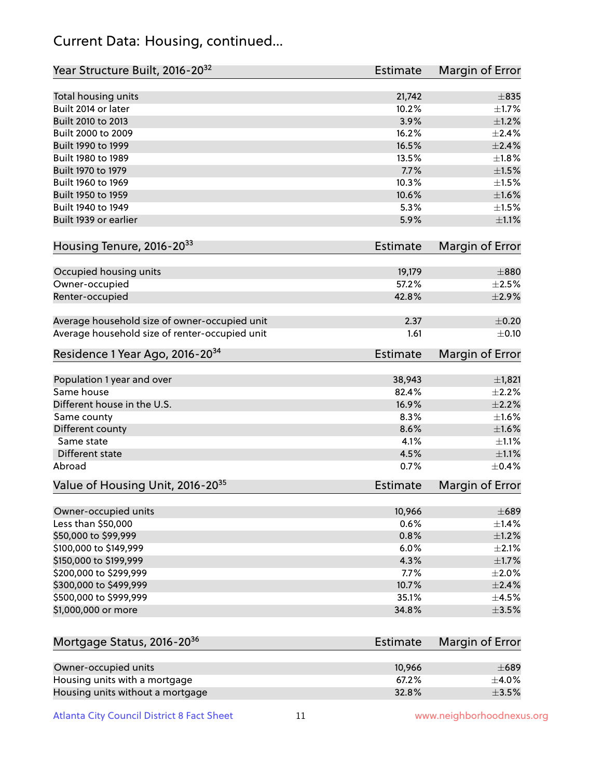## Current Data: Housing, continued...

| Year Structure Built, 2016-20 <sup>32</sup>    | Estimate        | <b>Margin of Error</b> |
|------------------------------------------------|-----------------|------------------------|
| Total housing units                            | 21,742          | $\pm$ 835              |
| Built 2014 or later                            | 10.2%           | $\pm1.7\%$             |
| Built 2010 to 2013                             | 3.9%            | $\pm 1.2\%$            |
| Built 2000 to 2009                             | 16.2%           | $\pm 2.4\%$            |
| Built 1990 to 1999                             | 16.5%           | $\pm 2.4\%$            |
| Built 1980 to 1989                             | 13.5%           | $\pm 1.8\%$            |
| Built 1970 to 1979                             | 7.7%            | $\pm 1.5\%$            |
| Built 1960 to 1969                             | 10.3%           | $\pm1.5\%$             |
| Built 1950 to 1959                             | 10.6%           | $\pm1.6\%$             |
| Built 1940 to 1949                             | 5.3%            | $\pm1.5\%$             |
| Built 1939 or earlier                          | 5.9%            | $\pm 1.1\%$            |
| Housing Tenure, 2016-2033                      | Estimate        | Margin of Error        |
| Occupied housing units                         | 19,179          | $\pm 880$              |
| Owner-occupied                                 | 57.2%           | $\pm 2.5\%$            |
| Renter-occupied                                | 42.8%           | $\pm 2.9\%$            |
| Average household size of owner-occupied unit  | 2.37            | $\pm$ 0.20             |
| Average household size of renter-occupied unit | 1.61            | $\pm$ 0.10             |
| Residence 1 Year Ago, 2016-20 <sup>34</sup>    | <b>Estimate</b> | <b>Margin of Error</b> |
| Population 1 year and over                     | 38,943          | $\pm$ 1,821            |
| Same house                                     | 82.4%           | $\pm 2.2\%$            |
| Different house in the U.S.                    | 16.9%           | $\pm 2.2\%$            |
| Same county                                    | 8.3%            | $\pm1.6\%$             |
| Different county                               | 8.6%            | $\pm1.6\%$             |
| Same state                                     | 4.1%            | $\pm 1.1\%$            |
| Different state                                | 4.5%            | $\pm 1.1\%$            |
| Abroad                                         | 0.7%            | $\pm$ 0.4%             |
| Value of Housing Unit, 2016-20 <sup>35</sup>   | <b>Estimate</b> | Margin of Error        |
| Owner-occupied units                           | 10,966          | $\pm 689$              |
| Less than \$50,000                             | 0.6%            | ±1.4%                  |
| \$50,000 to \$99,999                           | 0.8%            | $\pm 1.2\%$            |
| \$100,000 to \$149,999                         | 6.0%            | $\pm 2.1\%$            |
| \$150,000 to \$199,999                         | 4.3%            | $\pm1.7\%$             |
| \$200,000 to \$299,999                         | 7.7%            | $\pm 2.0\%$            |
| \$300,000 to \$499,999                         | 10.7%           | $\pm 2.4\%$            |
| \$500,000 to \$999,999                         | 35.1%           | $\pm 4.5\%$            |
| \$1,000,000 or more                            | 34.8%           | $\pm$ 3.5%             |
| Mortgage Status, 2016-20 <sup>36</sup>         | <b>Estimate</b> | Margin of Error        |
| Owner-occupied units                           | 10,966          | $\pm 689$              |
| Housing units with a mortgage                  | 67.2%           | $\pm$ 4.0%             |
|                                                |                 |                        |

Housing units without a mortgage  $\pm 3.5\%$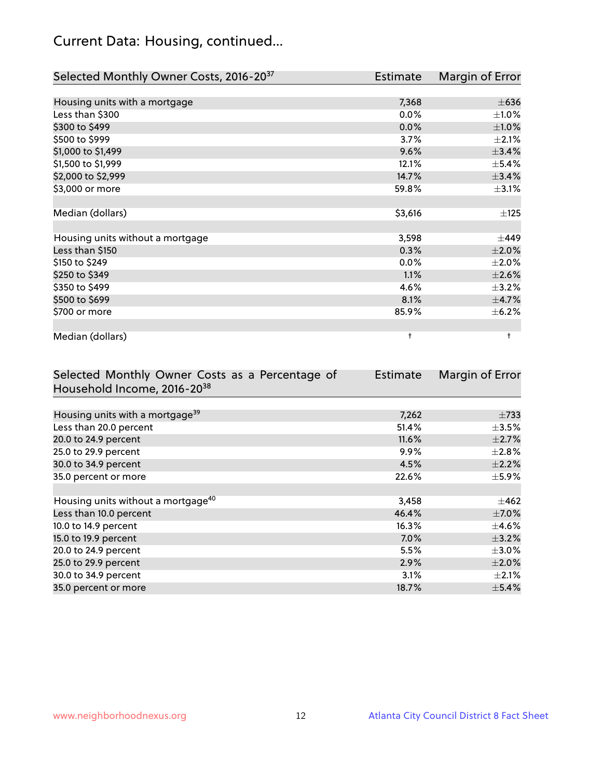# Current Data: Housing, continued...

| Selected Monthly Owner Costs, 2016-20 <sup>37</sup> | Estimate   | Margin of Error |
|-----------------------------------------------------|------------|-----------------|
|                                                     |            |                 |
| Housing units with a mortgage                       | 7,368      | $\pm 636$       |
| Less than \$300                                     | 0.0%       | $\pm 1.0\%$     |
| \$300 to \$499                                      | 0.0%       | $\pm1.0\%$      |
| \$500 to \$999                                      | 3.7%       | $\pm 2.1\%$     |
| \$1,000 to \$1,499                                  | 9.6%       | ±3.4%           |
| \$1,500 to \$1,999                                  | 12.1%      | $\pm$ 5.4%      |
| \$2,000 to \$2,999                                  | 14.7%      | ±3.4%           |
| \$3,000 or more                                     | 59.8%      | $\pm$ 3.1%      |
|                                                     |            |                 |
| Median (dollars)                                    | \$3,616    | ±125            |
|                                                     |            |                 |
| Housing units without a mortgage                    | 3,598      | $\pm$ 449       |
| Less than \$150                                     | 0.3%       | $\pm 2.0\%$     |
| \$150 to \$249                                      | 0.0%       | $\pm 2.0\%$     |
| \$250 to \$349                                      | 1.1%       | $\pm 2.6\%$     |
| \$350 to \$499                                      | 4.6%       | $\pm$ 3.2%      |
| \$500 to \$699                                      | 8.1%       | $\pm$ 4.7%      |
| \$700 or more                                       | 85.9%      | $\pm$ 6.2%      |
|                                                     |            |                 |
| Median (dollars)                                    | $\ddagger$ | $\ddagger$      |

| Selected Monthly Owner Costs as a Percentage of | <b>Estimate</b> | Margin of Error |
|-------------------------------------------------|-----------------|-----------------|
| Household Income, 2016-20 <sup>38</sup>         |                 |                 |
|                                                 |                 |                 |
| Housing units with a mortgage <sup>39</sup>     | 7,262           | $\pm 733$       |
| Less than 20.0 percent                          | 51.4%           | $\pm$ 3.5%      |
| 20.0 to 24.9 percent                            | 11.6%           | $\pm 2.7\%$     |
| 25.0 to 29.9 percent                            | 9.9%            | $\pm 2.8\%$     |
| 30.0 to 34.9 percent                            | 4.5%            | $\pm 2.2\%$     |
| 35.0 percent or more                            | 22.6%           | $\pm$ 5.9%      |
|                                                 |                 |                 |
| Housing units without a mortgage <sup>40</sup>  | 3,458           | $\pm 462$       |
| Less than 10.0 percent                          | 46.4%           | $\pm$ 7.0%      |
| 10.0 to 14.9 percent                            | 16.3%           | $\pm$ 4.6%      |
| 15.0 to 19.9 percent                            | $7.0\%$         | $\pm$ 3.2%      |
| 20.0 to 24.9 percent                            | 5.5%            | $\pm 3.0\%$     |
| 25.0 to 29.9 percent                            | 2.9%            | $\pm 2.0\%$     |
| 30.0 to 34.9 percent                            | 3.1%            | $\pm 2.1\%$     |
| 35.0 percent or more                            | 18.7%           | $\pm$ 5.4%      |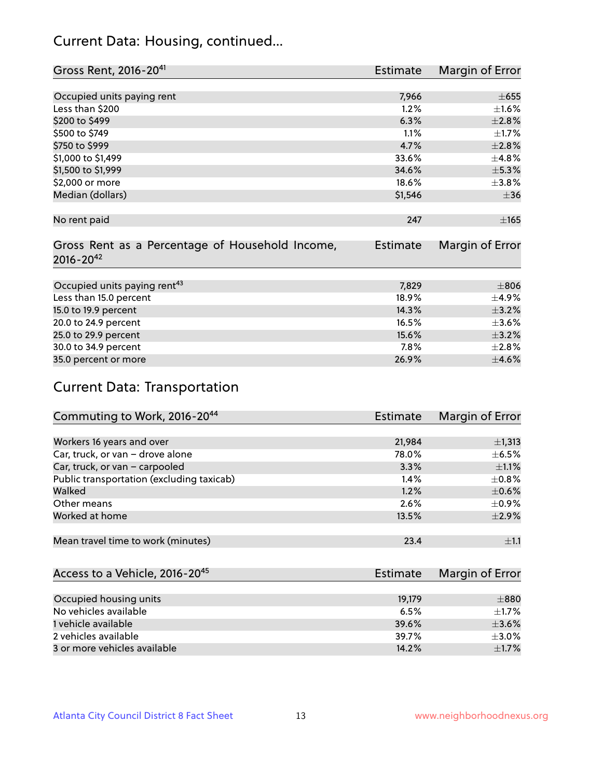## Current Data: Housing, continued...

| Gross Rent, 2016-20 <sup>41</sup>               | Estimate | Margin of Error |
|-------------------------------------------------|----------|-----------------|
|                                                 |          |                 |
| Occupied units paying rent                      | 7,966    | $\pm 655$       |
| Less than \$200                                 | 1.2%     | $\pm1.6\%$      |
| \$200 to \$499                                  | 6.3%     | $\pm 2.8\%$     |
| \$500 to \$749                                  | 1.1%     | $\pm1.7\%$      |
| \$750 to \$999                                  | 4.7%     | ±2.8%           |
| \$1,000 to \$1,499                              | 33.6%    | ±4.8%           |
| \$1,500 to \$1,999                              | 34.6%    | $\pm$ 5.3%      |
| \$2,000 or more                                 | 18.6%    | $\pm$ 3.8%      |
| Median (dollars)                                | \$1,546  | $\pm$ 36        |
|                                                 |          |                 |
| No rent paid                                    | 247      | $\pm$ 165       |
|                                                 |          |                 |
| Gross Rent as a Percentage of Household Income, | Estimate | Margin of Error |
| $2016 - 20^{42}$                                |          |                 |
|                                                 |          |                 |
| Occupied units paying rent <sup>43</sup>        | 7,829    | $\pm806$        |
| Less than 15.0 percent                          | 18.9%    | $\pm$ 4.9%      |
| 15.0 to 19.9 percent                            | 14.3%    | $\pm$ 3.2%      |
| 20.0 to 24.9 percent                            | 16.5%    | $\pm 3.6\%$     |
| 25.0 to 29.9 percent                            | 15.6%    | $\pm$ 3.2%      |
| 30.0 to 34.9 percent                            | 7.8%     | ±2.8%           |
| 35.0 percent or more                            | 26.9%    | $\pm$ 4.6%      |

# Current Data: Transportation

| Commuting to Work, 2016-20 <sup>44</sup>  | <b>Estimate</b> | Margin of Error |
|-------------------------------------------|-----------------|-----------------|
|                                           |                 |                 |
| Workers 16 years and over                 | 21,984          | $\pm$ 1,313     |
| Car, truck, or van - drove alone          | 78.0%           | $\pm$ 6.5%      |
| Car, truck, or van - carpooled            | 3.3%            | $\pm 1.1\%$     |
| Public transportation (excluding taxicab) | $1.4\%$         | $\pm$ 0.8%      |
| Walked                                    | 1.2%            | $\pm$ 0.6%      |
| Other means                               | 2.6%            | $\pm$ 0.9%      |
| Worked at home                            | 13.5%           | $\pm 2.9\%$     |
|                                           |                 |                 |
| Mean travel time to work (minutes)        | 23.4            | $\pm 1.1$       |

| Access to a Vehicle, 2016-20 <sup>45</sup> | Estimate | Margin of Error |
|--------------------------------------------|----------|-----------------|
|                                            |          |                 |
| Occupied housing units                     | 19.179   | $\pm 880$       |
| No vehicles available                      | 6.5%     | $\pm$ 1.7%      |
| 1 vehicle available                        | 39.6%    | $\pm$ 3.6%      |
| 2 vehicles available                       | 39.7%    | $+3.0%$         |
| 3 or more vehicles available               | 14.2%    | $\pm$ 1.7%      |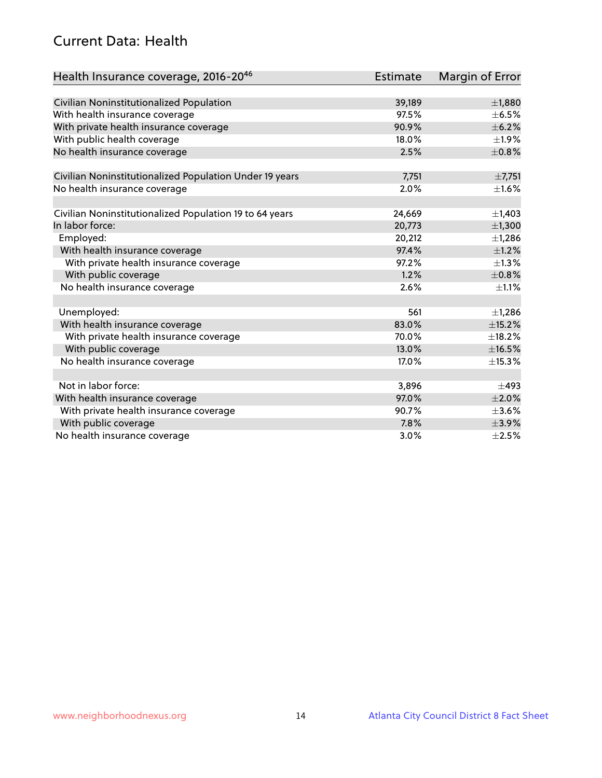## Current Data: Health

| Health Insurance coverage, 2016-2046                    | Estimate | Margin of Error |
|---------------------------------------------------------|----------|-----------------|
|                                                         |          |                 |
| Civilian Noninstitutionalized Population                | 39,189   | $\pm$ 1,880     |
| With health insurance coverage                          | 97.5%    | $\pm$ 6.5%      |
| With private health insurance coverage                  | 90.9%    | $\pm$ 6.2%      |
| With public health coverage                             | 18.0%    | $\pm$ 1.9%      |
| No health insurance coverage                            | 2.5%     | $\pm 0.8\%$     |
| Civilian Noninstitutionalized Population Under 19 years | 7,751    | ±7,751          |
| No health insurance coverage                            | 2.0%     | $\pm 1.6\%$     |
|                                                         |          |                 |
| Civilian Noninstitutionalized Population 19 to 64 years | 24,669   | $\pm$ 1,403     |
| In labor force:                                         | 20,773   | ±1,300          |
| Employed:                                               | 20,212   | $\pm$ 1,286     |
| With health insurance coverage                          | 97.4%    | $\pm 1.2\%$     |
| With private health insurance coverage                  | 97.2%    | $\pm 1.3\%$     |
| With public coverage                                    | 1.2%     | $\pm$ 0.8%      |
| No health insurance coverage                            | 2.6%     | $\pm 1.1\%$     |
|                                                         |          |                 |
| Unemployed:                                             | 561      | $\pm$ 1,286     |
| With health insurance coverage                          | 83.0%    | ±15.2%          |
| With private health insurance coverage                  | 70.0%    | $\pm$ 18.2%     |
| With public coverage                                    | 13.0%    | ±16.5%          |
| No health insurance coverage                            | 17.0%    | ±15.3%          |
|                                                         |          |                 |
| Not in labor force:                                     | 3,896    | $\pm$ 493       |
| With health insurance coverage                          | 97.0%    | $\pm 2.0\%$     |
| With private health insurance coverage                  | 90.7%    | $\pm$ 3.6%      |
| With public coverage                                    | 7.8%     | ±3.9%           |
| No health insurance coverage                            | $3.0\%$  | $\pm 2.5\%$     |